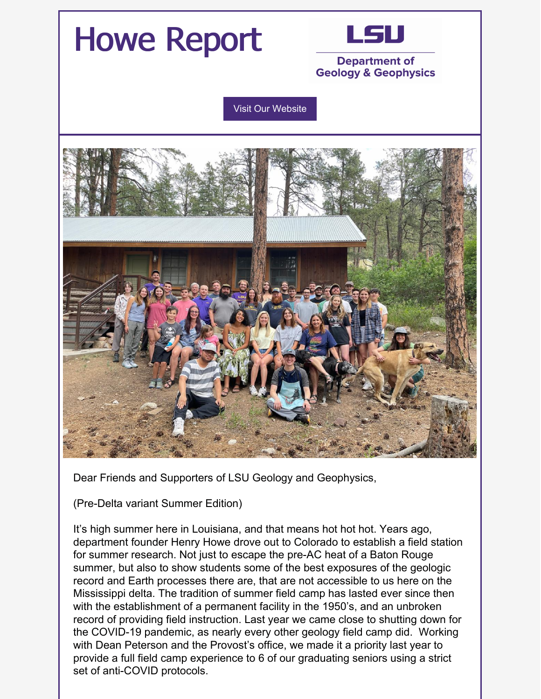

Dear Friends and Supporters of LSU Geology and Geophysics,

(Pre-Delta variant Summer Edition)

It's high summer here in Louisiana, and that means hot hot hot. Years ago, department founder Henry Howe drove out to Colorado to establish a field station for summer research. Not just to escape the pre-AC heat of a Baton Rouge summer, but also to show students some of the best exposures of the geologic record and Earth processes there are, that are not accessible to us here on the Mississippi delta. The tradition of summer field camp has lasted ever since then with the establishment of a permanent facility in the 1950's, and an unbroken record of providing field instruction. Last year we came close to shutting down for the COVID-19 pandemic, as nearly every other geology field camp did. Working with Dean Peterson and the Provost's office, we made it a priority last year to provide a full field camp experience to 6 of our graduating seniors using a strict set of anti-COVID protocols.